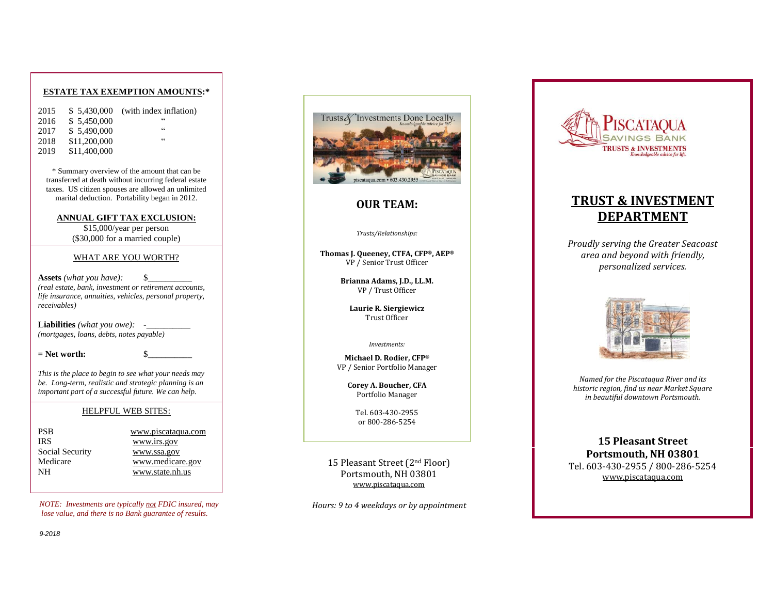### **ESTATE TAX EXEMPTION AMOUNTS:\***

| 2015 | \$5.430,000  | (with index inflation) |
|------|--------------|------------------------|
| 2016 | \$5.450,000  | 66                     |
| 2017 | \$5.490,000  | 66                     |
| 2018 | \$11,200,000 | 66                     |
| 2019 | \$11,400,000 |                        |

\* Summary overview of the amount that can be transferred at death without incurring federal estate taxes. US citizen spouses are allowed an unlimited marital deduction. Portability began in 2012.

**ANNUAL GIFT TAX EXCLUSION:** 

\$1 5,000/year per person (\$30,000 for a married couple)

#### WHAT ARE YOU WORTH?

**Assets** *(what you have):* \$\_\_\_\_\_\_\_\_\_\_ *(real estate, bank, investment or retirement accounts, life insurance, annuities, vehicles, personal property, receivables)*

**Liabilities** *(what you owe):* -\_\_\_\_\_\_\_\_\_\_ *(mortgages, loans, debts, notes payable)*

 $=$  Net worth:

*This is the place to begin to see what your needs may be. Long -term, realistic and strategic planning is an important part of a successful future. We can help.*

#### HELPFUL WEB SITES:

[www.piscataqua.com](http://www.piscataqua.com/) [www.irs.gov](http://www.irs.gov/) [www.ssa.gov](http://www.ssa.gov/) [www.medicare.gov](http://www.medicare.gov/) NH [www.state.nh.us](http://www.state.nh.us/)

*NOTE: Investments are typically not FDIC insured, may lose value, and there is no Bank guarantee of results.* 



## **OUR TEAM:**

#### *Trusts/Relationships:*

**Thomas J. Queeney, CTFA, CFP ®, AEP ®** VP / Senior Trust Officer

> **Brianna Adams, J.D., LL.M.** VP / Trust Officer

**Laurie R. Siergiewicz** Trust Officer

#### *Investments:*

**Michael D. Rodier, CFP ®** VP / Senior Portfolio Manager

> **Corey A. Boucher, CFA** Portfolio Manager

> > Tel. 603 -430 -2955 or 800 -286 -5254

15 Pleasant Street (2nd Floor) Portsmouth, NH 03801 [www.piscataqua.com](http://www.piscataqua.com/)

*Hours: 9 to 4 weekdays or by appointment* 



# **TRUST & INVESTMENT DEPARTMENT**

*Proudly serving the Greater Seacoast area and beyond with friendly, personalized services.* 



*Named for the Piscataqua River and its historic region, find us near Market Square in beautiful downtown Portsmouth.* 

**15 Pleasant Street Portsmouth, NH 03801**  Tel. 603-430-2955 / 800-286-5254 [www.piscataqua.com](http://www.piscataqua.com/)